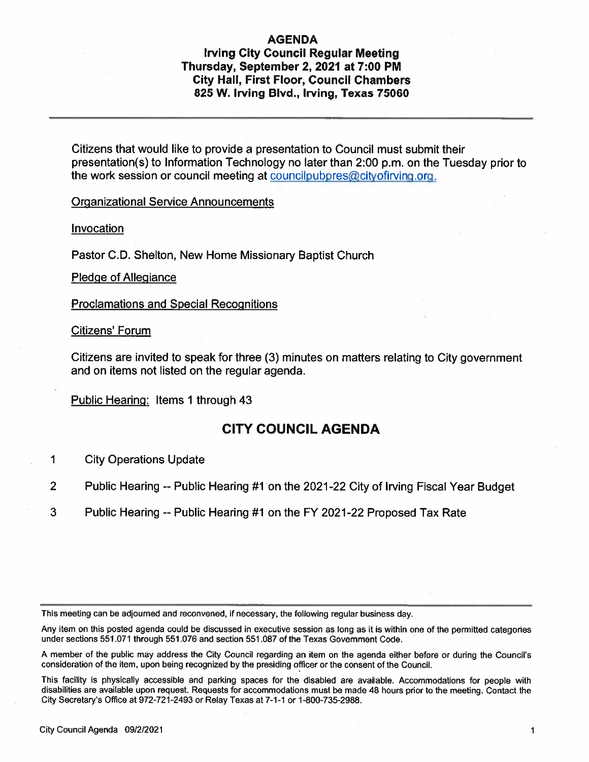#### AGENDA

#### Irving City Council Regular Meeting Thursday, September 2, 2021 at 7:00 PM City Hall, First Floor, Council Chambers 825 W. Irving Blvd., Irving, Texas 75060

Citizens that would like to provide <sup>a</sup> presentation to Council must submit their presentation(s) to Information Technology no later than 2:00 p.m. on the Tuesday prior to the work session or council meeting at councilpubpres@cityofirving.org.

Organizational Service Announcements

**Invocation** 

Pastor C.D. Shelton, New Home Missionary Baptist Church

Pledge of Allegiance

Proclamations and Special Recognitions

Citizens' Forum

Citizens are invited to speak for three (3) minutes on matters relating to City government and on items not listed on the regular agenda.

Public Hearing: Items 1 through 43

### CITY COUNCIL AGENDA

- 1 City Operations Update
- 2 Public Hearing-- Public Hearing #1 on the 2021-22 City of Irving Fiscal Year Budget
- 3 Public Hearing -- Public Hearing #1 on the FY 2021-22 Proposed Tax Rate

This meeting can be adjourned and reconvened, if necessary, the following regular business day.

Any item on this posted agenda could be discussed in executive session as long as it is within one of the permitted categories under sections 551.071 through 551.076 and section 551.087 of the Texas Government Code.

<sup>A</sup> member of the public may address the city council regarding an item on the agenda either before or during the councils consideration of the item, upon being recognized by the presiding officer or the consent of the Council.

This facility is <sup>p</sup>hysically accessible and parking spaces for the disabled are available. Accommodations for people with disabilities are available upon request. Requests for accommodations must be made <sup>48</sup> hours prior to the meeting. contact the City Secretary's Office at 972-721-2493 or Relay Texas at 7-1-1 or 1-800-735-2988.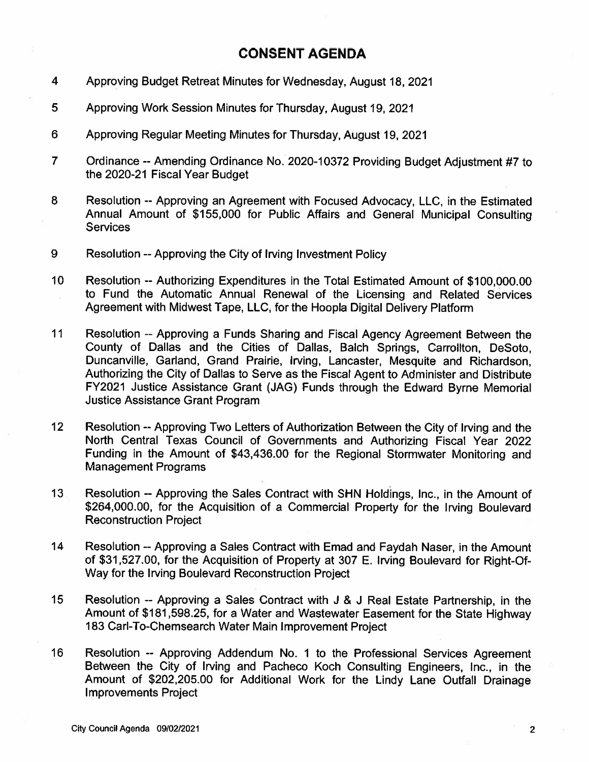## CONSENT AGENDA

- 4 Approving Budget Retreat Minutes for Wednesday, August 18, 2021
- 5 Approving Work Session Minutes for Thursday, August 19, 2021
- <sup>6</sup> Approving Regular Meeting Minutes for Thursday, August 19, 2021
- <sup>7</sup> Ordinance --Amending Ordinance No. 2020-1 <sup>0372</sup> Providing Budget Adjustment #7 to the 2020-21 Fiscal Year Budget
- 8 Resolution -- Approving an Agreement with Focused Advocacy, LLC, in the Estimated Annual Amount of \$155,000 for Public Affairs and General Municipal Consulting **Services**
- 9 Resolution --Approving the City of Irving Investment Policy
- 10 Resolution --Authorizing Expenditures in the Total Estimated Amount of \$100,000.00 to Fund the Automatic Annual Renewal of the Licensing and Related Services Agreement with Midwest Tape, LLC, for the Hoopla Digital Delivery Platform
- 11 Resolution -- Approving <sup>a</sup> Funds Sharing and Fiscal Agency Agreement Between the County of Dallas and the Cities of Dallas, Balch Springs, Carrollton, DeSoto, Duncanville, Garland, Grand Prairie, Irving, Lancaster, Mesquite and Richardson, Authorizing the City of Dallas to Serve as the Fiscal Agent to Administer and Distribute FY2021 Justice Assistance Grant (JAG) Funds through the Edward Byrne Memorial Justice Assistance Grant Program
- <sup>12</sup> Resolution --Approving Two Letters of Authorization Between the City of Irving and the North Central Texas Council of Governments and Authorizing Fiscal Year 2022 Funding in the Amount of \$43,436.00 for the Regional Stormwater Monitoring and Management Programs
- 13 Resolution --Approving the Sales Contract with SHN Holdings, Inc., in the Amount of \$264,000.00, for the Acquisition of <sup>a</sup> Commercial Property for the Irving Boulevard Reconstruction Project
- <sup>14</sup> Resolution --Approving <sup>a</sup> Sales Contract with Emad and Faydah Naser, in the Amount of \$31,527.00, for the Acquisition of Property at <sup>307</sup> E. Irving Boulevard for Right-Of-Way for the Irving Boulevard Reconstruction Project
- 15 Resolution -- Approving <sup>a</sup> Sales Contract with <sup>J</sup> & <sup>J</sup> Real Estate Partnership, in the Amount of \$181,598.25, for <sup>a</sup> Water and Wastewater Easement for the State Highway 183 Carl-To-Chemsearch Water Main Improvement Project
- <sup>16</sup> Resolution -- Approving Addendum No. <sup>1</sup> to the Professional Services Agreement Between the City of Irving and Pacheco Koch Consulting Engineers, Inc., in the Amount of \$202,205.00 for Additional Work for the Lindy Lane Outfall Drainage Improvements Project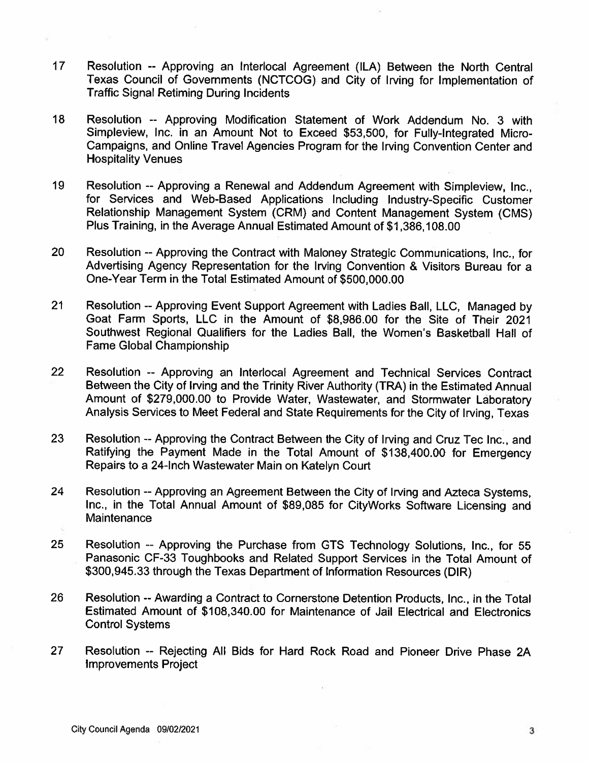- 17 Resolution -- Approving an Interlocal Agreement (ILA) Between the North Central Texas Council of Governments (NCTCOG) and City of Irving for Implementation of Traffic Signal Retiming During Incidents
- 18 Resolution -- Approving Modification Statement of Work Addendum No. 3 with Simpleview, Inc. in an Amount Not to Exceed \$53,500, for Fully-Integrated Micro-Campaigns, and Online Travel Agencies Program for the Irving Convention Center and Hospitality Venues
- 19 Resolution --Approving <sup>a</sup> Renewal and Addendum Agreement with Simpleview, Inc., for Services and Web-Based Applications Including Industry-Specific Customer Relationship Management System (CRM) and Content Management System (CMS) Plus Training, in the Average Annual Estimated Amount of \$1,386,108.00
- 20 Resolution --Approving the Contract with Maloney Strategic Communications, Inc., for Advertising Agency Representation for the Irving Convention & Visitors Bureau for <sup>a</sup> One-Year Term in the Total Estimated Amount of \$500,000.00
- <sup>21</sup> Resolution --Approving Event Support Agreement with Ladies Ball, LLC, Managed by Goat Farm Sports, LLC in the Amount of \$8,986.00 for the Site of Their 2021 Southwest Regional Qualifiers for the Ladies Ball, the Women's Basketball Hall of Fame Global Championship
- 22 Resolution -- Approving an Interlocal Agreement and Technical Services Contract Between the City of Irving and the Trinity River Authority (TRA) in the Estimated Annual Amount of \$279,000.00 to Provide Water, Wastewater, and Stormwater Laboratory Analysis Services to Meet Federal and State Requirements for the City of Irving, Texas
- 23 Resolution -- Approving the Contract Between the City of Irving and Cruz Tec Inc., and Ratifying the Payment Made in the Total Amount of \$138,400.00 for Emergency Repairs to <sup>a</sup> 24-Inch Wastewater Main on Katelyn Court
- <sup>24</sup> Resolution --Approving an Agreement Between the City of Irving and Azteca Systems, Inc., in the Total Annual Amount of \$89,085 for CityWorks Software Licensing and **Maintenance**
- 25 Resolution -- Approving the Purchase from GTS Technology Solutions, Inc., for 55 Panasonic CF-33 Toughbooks and Related Support Services in the Total Amount of \$300,945.33 through the Texas Department of Information Resources (DIR)
- 26 Resolution --Awarding <sup>a</sup> Contract to Cornerstone Detention Products, Inc., in the Total Estimated Amount of \$108,340.00 for Maintenance of Jail Electrical and Electronics Control Systems
- 27 Resolution -- Rejecting All Bids for Hard Rock Road and Pioneer Drive Phase 2A Improvements Project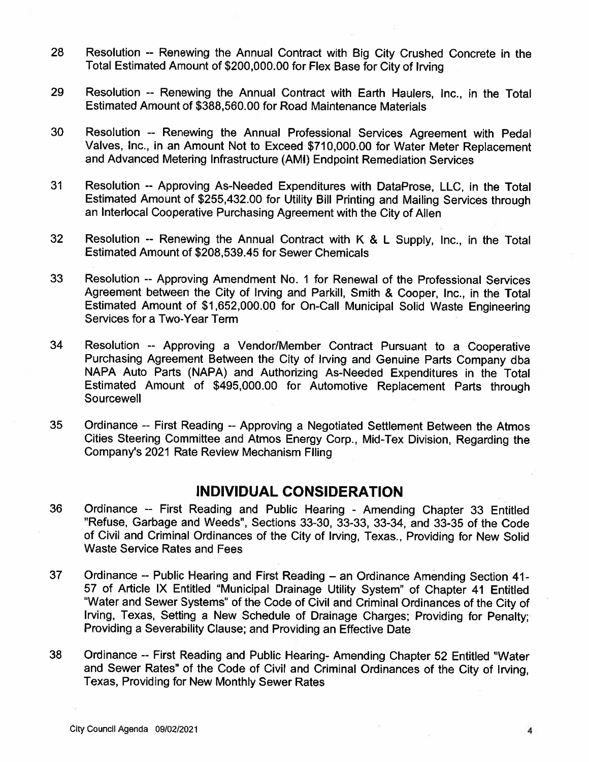- <sup>28</sup> Resolution -- Renewing the Annual Contract with Big City Crushed Concrete in the Total Estimated Amount of \$200,000.00 for Flex Base for City of Irving
- 29 Resolution -- Renewing the Annual Contract with Earth Haulers, Inc., in the Total Estimated Amount of \$388,560.00 for Road Maintenance Materials
- <sup>30</sup> Resolution -- Renewing the Annual Professional Services Agreement with Pedal Valves, Inc., in an Amount Not to Exceed \$710,000.00 for Water Meter Replacement and Advanced Metering Infrastructure (AMI) Endpoint Remediation Services
- 31 Resolution -- Approving As-Needed Expenditures with DataProse, LLC, in the Total Estimated Amount of \$255,432.00 for Utility Bill Printing and Mailing Services through an Interlocal Cooperative Purchasing Agreement with the City of Allen
- <sup>32</sup> Resolution -- Renewing the Annual Contract with <sup>K</sup> & <sup>L</sup> Supply, Inc., in the Total Estimated Amount of \$208,539.45 for Sewer Chemicals
- 33 Resolution -- Approving Amendment No. 1 for Renewal of the Professional Services Agreement between the City of Irving and Parkill, Smith & Cooper, Inc., in the Total Estimated Amount of \$1,652,000.00 for On-Call Municipal Solid Waste Engineering Services for <sup>a</sup> Two-Year Term
- <sup>34</sup> Resolution -- Approving <sup>a</sup> Vendor/Member Contract Pursuant to <sup>a</sup> Cooperative Purchasing Agreement Between the City of Irving and Genuine Parts Company dba NAPA Auto Parts (NAPA) and Authorizing As-Needed Expenditures in the Total Estimated Amount of \$495,000.00 for Automotive Replacement Parts through **Sourcewell**
- <sup>35</sup> Ordinance -- First Reading --Approving <sup>a</sup> Negotiated Settlement Between the Atmos Cities Steering Committee and Atmos Energy Corp., Mid-Tex Division, Regarding the Company's 2021 Rate Review Mechanism Filing

## INDIVIDUAL CONSIDERATION

- <sup>36</sup> Ordinance -- First Reading and Public Hearing Amending Chapter <sup>33</sup> Entitled "Refuse, Garbage and Weeds", Sections 33-30, 33-33, 33-34, and 33-35 of the Code of Civil and Criminal Ordinances of the City of Irving, Texas., Providing for New Solid Waste Service Rates and Fees
- <sup>37</sup> Ordinance -- Public Hearing and First Reading an Ordinance Amending Section 41- <sup>57</sup> of Article IX Entitled "Municipal Drainage Utility System" of Chapter <sup>41</sup> Entitled "Water and Sewer Systems" of the Code of Civil and Criminal Ordinances of the City of Irving, Texas, Setting <sup>a</sup> New Schedule of Drainage Charges; Providing for Penalty; Providing <sup>a</sup> Severability Clause; and Providing an Effective Date
- <sup>38</sup> Ordinance -- First Reading and Public Hearing- Amending Chapter <sup>52</sup> Entitled "Water and Sewer Rates" of the Code of Civil and Criminal Ordinances of the City of Irving, Texas, Providing for New Monthly Sewer Rates